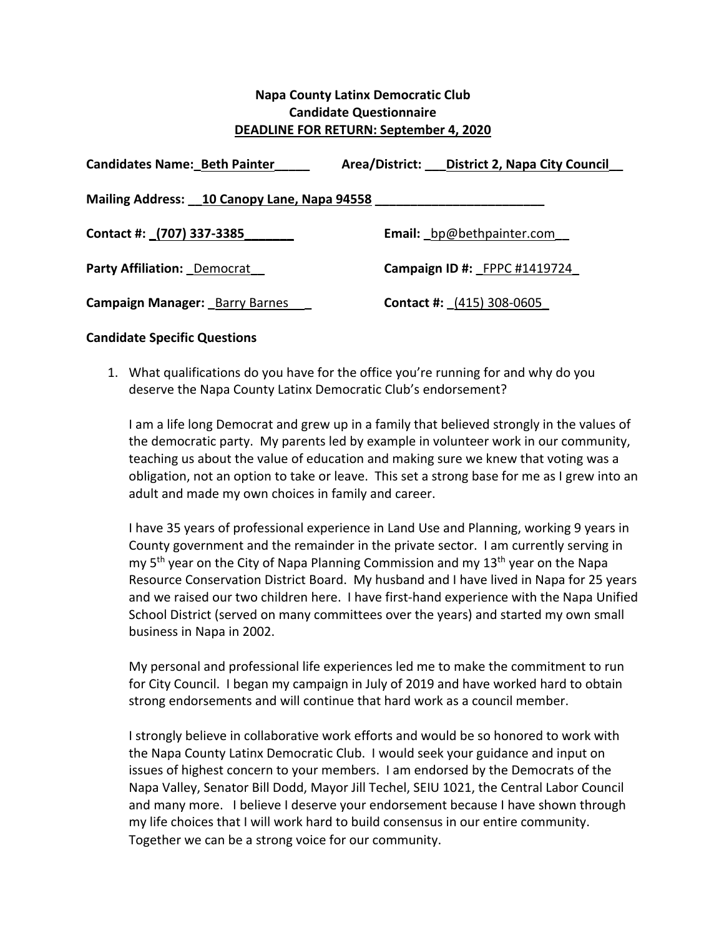## **Napa County Latinx Democratic Club Candidate Questionnaire DEADLINE FOR RETURN: September 4, 2020**

| <b>Candidates Name: Beth Painter</b>        | Area/District: ___ District 2, Napa City Council |
|---------------------------------------------|--------------------------------------------------|
|                                             |                                                  |
| Mailing Address: 10 Canopy Lane, Napa 94558 |                                                  |
| Contact #: (707) 337-3385                   | <b>Email:</b> bp@bethpainter.com                 |
|                                             |                                                  |
| <b>Party Affiliation: Democrat</b>          | Campaign ID #: FPPC #1419724                     |
| <b>Campaign Manager: Barry Barnes</b>       | <b>Contact #:</b> (415) 308-0605                 |

## **Candidate Specific Questions**

1. What qualifications do you have for the office you're running for and why do you deserve the Napa County Latinx Democratic Club's endorsement?

I am a life long Democrat and grew up in a family that believed strongly in the values of the democratic party. My parents led by example in volunteer work in our community, teaching us about the value of education and making sure we knew that voting was a obligation, not an option to take or leave. This set a strong base for me as I grew into an adult and made my own choices in family and career.

I have 35 years of professional experience in Land Use and Planning, working 9 years in County government and the remainder in the private sector. I am currently serving in my  $5<sup>th</sup>$  year on the City of Napa Planning Commission and my  $13<sup>th</sup>$  year on the Napa Resource Conservation District Board. My husband and I have lived in Napa for 25 years and we raised our two children here. I have first-hand experience with the Napa Unified School District (served on many committees over the years) and started my own small business in Napa in 2002.

My personal and professional life experiences led me to make the commitment to run for City Council. I began my campaign in July of 2019 and have worked hard to obtain strong endorsements and will continue that hard work as a council member.

I strongly believe in collaborative work efforts and would be so honored to work with the Napa County Latinx Democratic Club. I would seek your guidance and input on issues of highest concern to your members. I am endorsed by the Democrats of the Napa Valley, Senator Bill Dodd, Mayor Jill Techel, SEIU 1021, the Central Labor Council and many more. I believe I deserve your endorsement because I have shown through my life choices that I will work hard to build consensus in our entire community. Together we can be a strong voice for our community.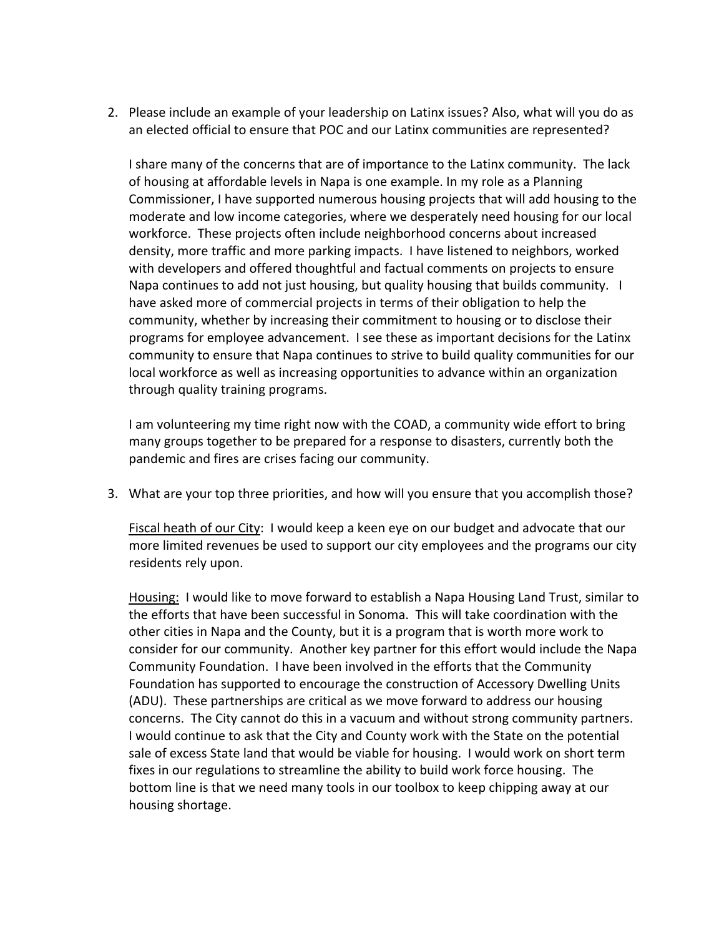2. Please include an example of your leadership on Latinx issues? Also, what will you do as an elected official to ensure that POC and our Latinx communities are represented?

I share many of the concerns that are of importance to the Latinx community. The lack of housing at affordable levels in Napa is one example. In my role as a Planning Commissioner, I have supported numerous housing projects that will add housing to the moderate and low income categories, where we desperately need housing for our local workforce. These projects often include neighborhood concerns about increased density, more traffic and more parking impacts. I have listened to neighbors, worked with developers and offered thoughtful and factual comments on projects to ensure Napa continues to add not just housing, but quality housing that builds community. I have asked more of commercial projects in terms of their obligation to help the community, whether by increasing their commitment to housing or to disclose their programs for employee advancement. I see these as important decisions for the Latinx community to ensure that Napa continues to strive to build quality communities for our local workforce as well as increasing opportunities to advance within an organization through quality training programs.

I am volunteering my time right now with the COAD, a community wide effort to bring many groups together to be prepared for a response to disasters, currently both the pandemic and fires are crises facing our community.

3. What are your top three priorities, and how will you ensure that you accomplish those?

Fiscal heath of our City: I would keep a keen eye on our budget and advocate that our more limited revenues be used to support our city employees and the programs our city residents rely upon.

Housing: I would like to move forward to establish a Napa Housing Land Trust, similar to the efforts that have been successful in Sonoma. This will take coordination with the other cities in Napa and the County, but it is a program that is worth more work to consider for our community. Another key partner for this effort would include the Napa Community Foundation. I have been involved in the efforts that the Community Foundation has supported to encourage the construction of Accessory Dwelling Units (ADU). These partnerships are critical as we move forward to address our housing concerns. The City cannot do this in a vacuum and without strong community partners. I would continue to ask that the City and County work with the State on the potential sale of excess State land that would be viable for housing. I would work on short term fixes in our regulations to streamline the ability to build work force housing. The bottom line is that we need many tools in our toolbox to keep chipping away at our housing shortage.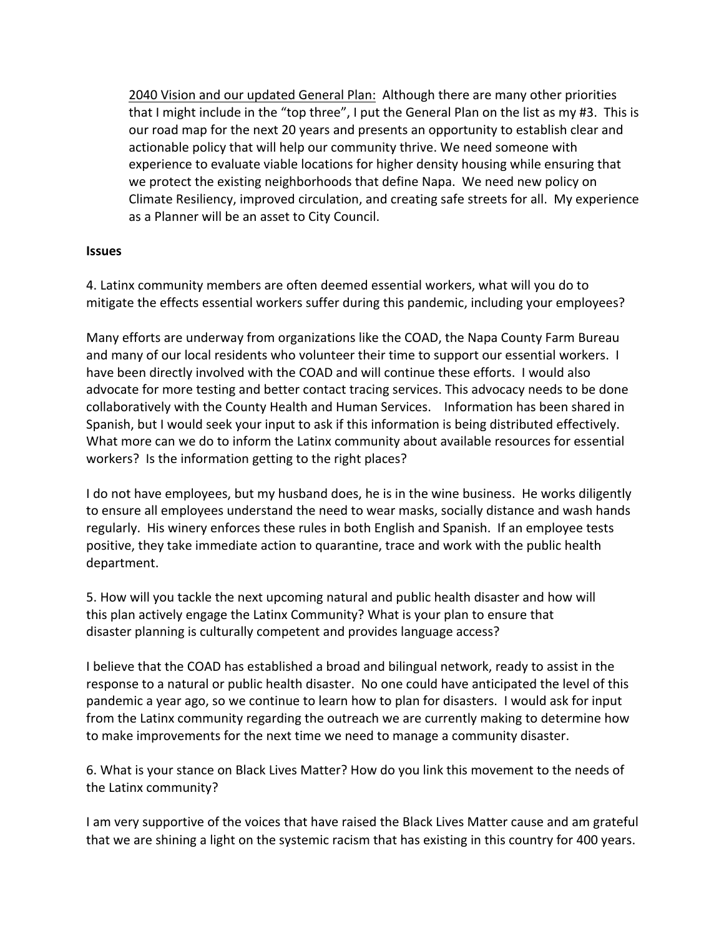2040 Vision and our updated General Plan: Although there are many other priorities that I might include in the "top three", I put the General Plan on the list as my #3. This is our road map for the next 20 years and presents an opportunity to establish clear and actionable policy that will help our community thrive. We need someone with experience to evaluate viable locations for higher density housing while ensuring that we protect the existing neighborhoods that define Napa. We need new policy on Climate Resiliency, improved circulation, and creating safe streets for all. My experience as a Planner will be an asset to City Council.

## **Issues**

4. Latinx community members are often deemed essential workers, what will you do to mitigate the effects essential workers suffer during this pandemic, including your employees?

Many efforts are underway from organizations like the COAD, the Napa County Farm Bureau and many of our local residents who volunteer their time to support our essential workers. I have been directly involved with the COAD and will continue these efforts. I would also advocate for more testing and better contact tracing services. This advocacy needs to be done collaboratively with the County Health and Human Services. Information has been shared in Spanish, but I would seek your input to ask if this information is being distributed effectively. What more can we do to inform the Latinx community about available resources for essential workers? Is the information getting to the right places?

I do not have employees, but my husband does, he is in the wine business. He works diligently to ensure all employees understand the need to wear masks, socially distance and wash hands regularly. His winery enforces these rules in both English and Spanish. If an employee tests positive, they take immediate action to quarantine, trace and work with the public health department.

5. How will you tackle the next upcoming natural and public health disaster and how will this plan actively engage the Latinx Community? What is your plan to ensure that disaster planning is culturally competent and provides language access?

I believe that the COAD has established a broad and bilingual network, ready to assist in the response to a natural or public health disaster. No one could have anticipated the level of this pandemic a year ago, so we continue to learn how to plan for disasters. I would ask for input from the Latinx community regarding the outreach we are currently making to determine how to make improvements for the next time we need to manage a community disaster.

6. What is your stance on Black Lives Matter? How do you link this movement to the needs of the Latinx community?

I am very supportive of the voices that have raised the Black Lives Matter cause and am grateful that we are shining a light on the systemic racism that has existing in this country for 400 years.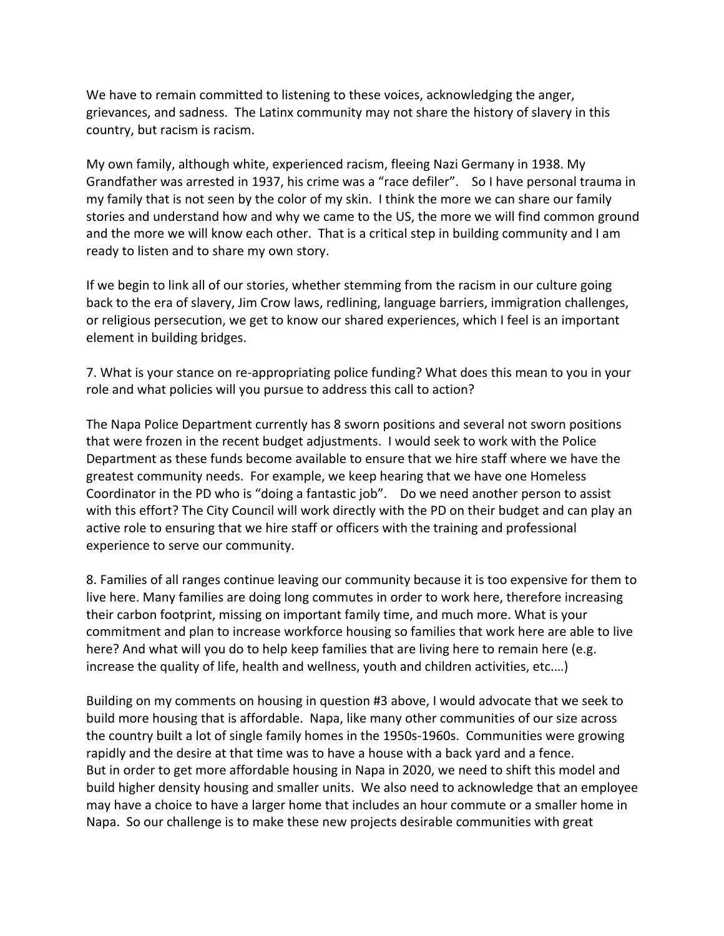We have to remain committed to listening to these voices, acknowledging the anger, grievances, and sadness. The Latinx community may not share the history of slavery in this country, but racism is racism.

My own family, although white, experienced racism, fleeing Nazi Germany in 1938. My Grandfather was arrested in 1937, his crime was a "race defiler". So I have personal trauma in my family that is not seen by the color of my skin. I think the more we can share our family stories and understand how and why we came to the US, the more we will find common ground and the more we will know each other. That is a critical step in building community and I am ready to listen and to share my own story.

If we begin to link all of our stories, whether stemming from the racism in our culture going back to the era of slavery, Jim Crow laws, redlining, language barriers, immigration challenges, or religious persecution, we get to know our shared experiences, which I feel is an important element in building bridges.

7. What is your stance on re-appropriating police funding? What does this mean to you in your role and what policies will you pursue to address this call to action?

The Napa Police Department currently has 8 sworn positions and several not sworn positions that were frozen in the recent budget adjustments. I would seek to work with the Police Department as these funds become available to ensure that we hire staff where we have the greatest community needs. For example, we keep hearing that we have one Homeless Coordinator in the PD who is "doing a fantastic job". Do we need another person to assist with this effort? The City Council will work directly with the PD on their budget and can play an active role to ensuring that we hire staff or officers with the training and professional experience to serve our community.

8. Families of all ranges continue leaving our community because it is too expensive for them to live here. Many families are doing long commutes in order to work here, therefore increasing their carbon footprint, missing on important family time, and much more. What is your commitment and plan to increase workforce housing so families that work here are able to live here? And what will you do to help keep families that are living here to remain here (e.g. increase the quality of life, health and wellness, youth and children activities, etc.…)

Building on my comments on housing in question #3 above, I would advocate that we seek to build more housing that is affordable. Napa, like many other communities of our size across the country built a lot of single family homes in the 1950s-1960s. Communities were growing rapidly and the desire at that time was to have a house with a back yard and a fence. But in order to get more affordable housing in Napa in 2020, we need to shift this model and build higher density housing and smaller units. We also need to acknowledge that an employee may have a choice to have a larger home that includes an hour commute or a smaller home in Napa. So our challenge is to make these new projects desirable communities with great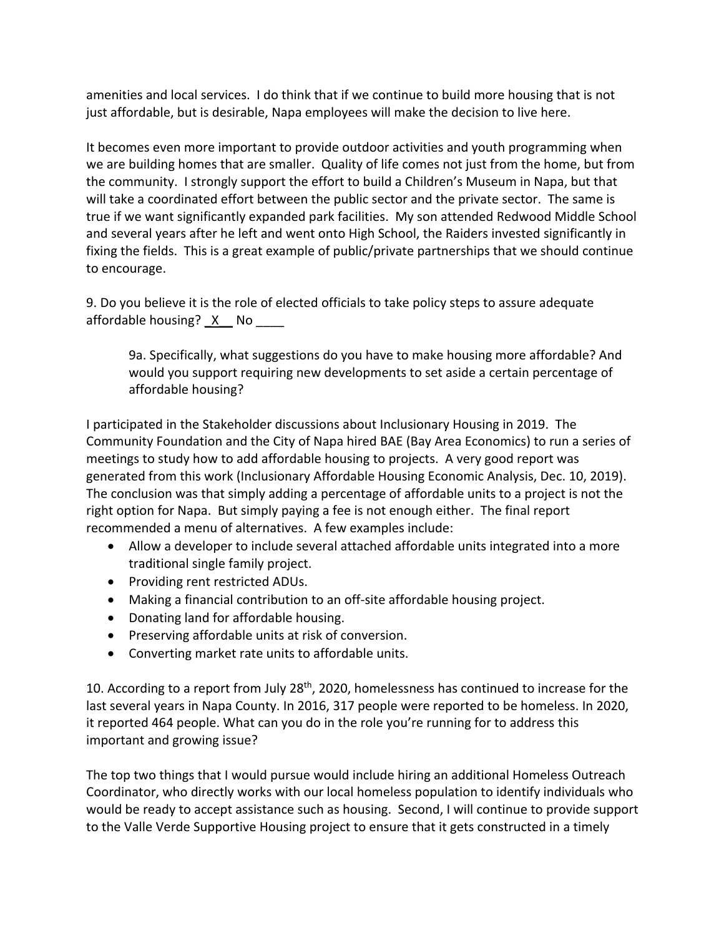amenities and local services. I do think that if we continue to build more housing that is not just affordable, but is desirable, Napa employees will make the decision to live here.

It becomes even more important to provide outdoor activities and youth programming when we are building homes that are smaller. Quality of life comes not just from the home, but from the community. I strongly support the effort to build a Children's Museum in Napa, but that will take a coordinated effort between the public sector and the private sector. The same is true if we want significantly expanded park facilities. My son attended Redwood Middle School and several years after he left and went onto High School, the Raiders invested significantly in fixing the fields. This is a great example of public/private partnerships that we should continue to encourage.

9. Do you believe it is the role of elected officials to take policy steps to assure adequate affordable housing? X No

9a. Specifically, what suggestions do you have to make housing more affordable? And would you support requiring new developments to set aside a certain percentage of affordable housing?

I participated in the Stakeholder discussions about Inclusionary Housing in 2019. The Community Foundation and the City of Napa hired BAE (Bay Area Economics) to run a series of meetings to study how to add affordable housing to projects. A very good report was generated from this work (Inclusionary Affordable Housing Economic Analysis, Dec. 10, 2019). The conclusion was that simply adding a percentage of affordable units to a project is not the right option for Napa. But simply paying a fee is not enough either. The final report recommended a menu of alternatives. A few examples include:

- Allow a developer to include several attached affordable units integrated into a more traditional single family project.
- Providing rent restricted ADUs.
- Making a financial contribution to an off-site affordable housing project.
- Donating land for affordable housing.
- Preserving affordable units at risk of conversion.
- Converting market rate units to affordable units.

10. According to a report from July 28<sup>th</sup>, 2020, homelessness has continued to increase for the last several years in Napa County. In 2016, 317 people were reported to be homeless. In 2020, it reported 464 people. What can you do in the role you're running for to address this important and growing issue?

The top two things that I would pursue would include hiring an additional Homeless Outreach Coordinator, who directly works with our local homeless population to identify individuals who would be ready to accept assistance such as housing. Second, I will continue to provide support to the Valle Verde Supportive Housing project to ensure that it gets constructed in a timely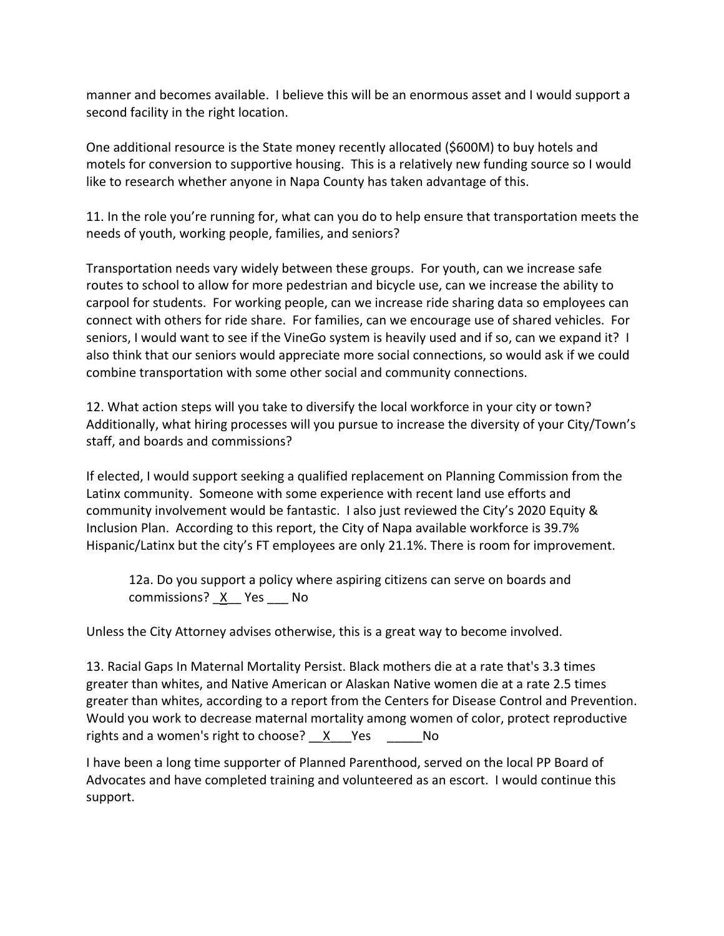manner and becomes available. I believe this will be an enormous asset and I would support a second facility in the right location.

One additional resource is the State money recently allocated (\$600M) to buy hotels and motels for conversion to supportive housing. This is a relatively new funding source so I would like to research whether anyone in Napa County has taken advantage of this.

11. In the role you're running for, what can you do to help ensure that transportation meets the needs of youth, working people, families, and seniors?

Transportation needs vary widely between these groups. For youth, can we increase safe routes to school to allow for more pedestrian and bicycle use, can we increase the ability to carpool for students. For working people, can we increase ride sharing data so employees can connect with others for ride share. For families, can we encourage use of shared vehicles. For seniors, I would want to see if the VineGo system is heavily used and if so, can we expand it? I also think that our seniors would appreciate more social connections, so would ask if we could combine transportation with some other social and community connections.

12. What action steps will you take to diversify the local workforce in your city or town? Additionally, what hiring processes will you pursue to increase the diversity of your City/Town's staff, and boards and commissions?

If elected, I would support seeking a qualified replacement on Planning Commission from the Latinx community. Someone with some experience with recent land use efforts and community involvement would be fantastic. I also just reviewed the City's 2020 Equity & Inclusion Plan. According to this report, the City of Napa available workforce is 39.7% Hispanic/Latinx but the city's FT employees are only 21.1%. There is room for improvement.

12a. Do you support a policy where aspiring citizens can serve on boards and commissions? X Yes No

Unless the City Attorney advises otherwise, this is a great way to become involved.

13. Racial Gaps In Maternal Mortality Persist. Black mothers die at a rate that's 3.3 times greater than whites, and Native American or Alaskan Native women die at a rate 2.5 times greater than whites, according to a report from the Centers for Disease Control and Prevention. Would you work to decrease maternal mortality among women of color, protect reproductive rights and a women's right to choose? X Yes No

I have been a long time supporter of Planned Parenthood, served on the local PP Board of Advocates and have completed training and volunteered as an escort. I would continue this support.